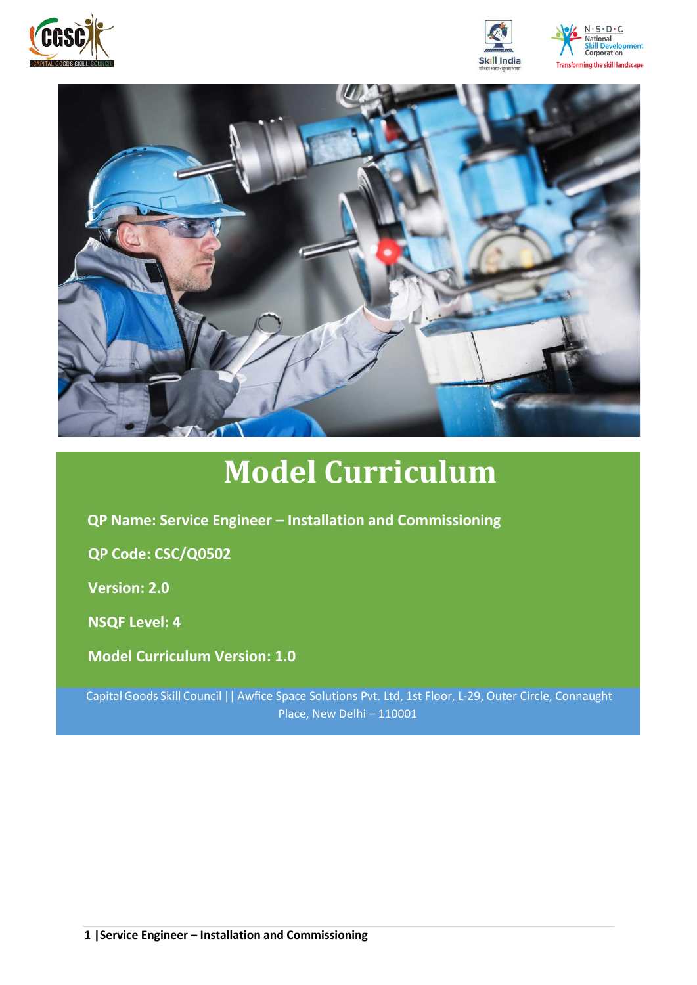







# **Model Curriculum**

**QP Name: Service Engineer – Installation and Commissioning**

**QP Code: CSC/Q0502**

**Version: 2.0**

**NSQF Level: 4**

**Model Curriculum Version: 1.0**

Capital Goods Skill Council || Awfice Space Solutions Pvt. Ltd, 1st Floor, L-29, Outer Circle, Connaught Place, New Delhi – 110001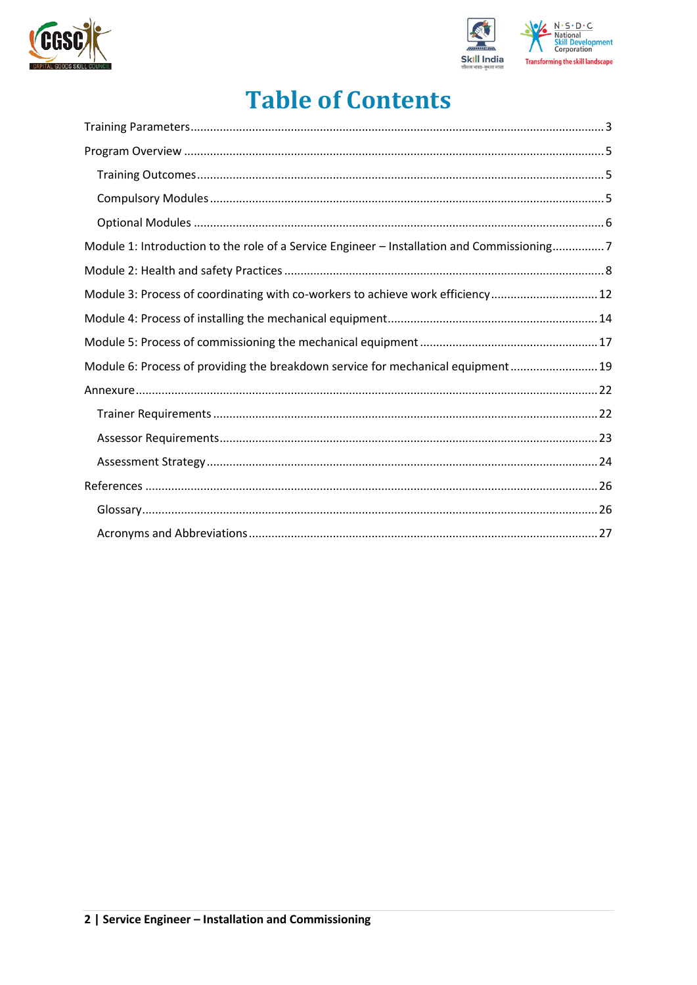



## **Table of Contents**

| Module 1: Introduction to the role of a Service Engineer - Installation and Commissioning7 |
|--------------------------------------------------------------------------------------------|
|                                                                                            |
| Module 3: Process of coordinating with co-workers to achieve work efficiency 12            |
|                                                                                            |
|                                                                                            |
| Module 6: Process of providing the breakdown service for mechanical equipment 19           |
|                                                                                            |
|                                                                                            |
|                                                                                            |
|                                                                                            |
|                                                                                            |
|                                                                                            |
|                                                                                            |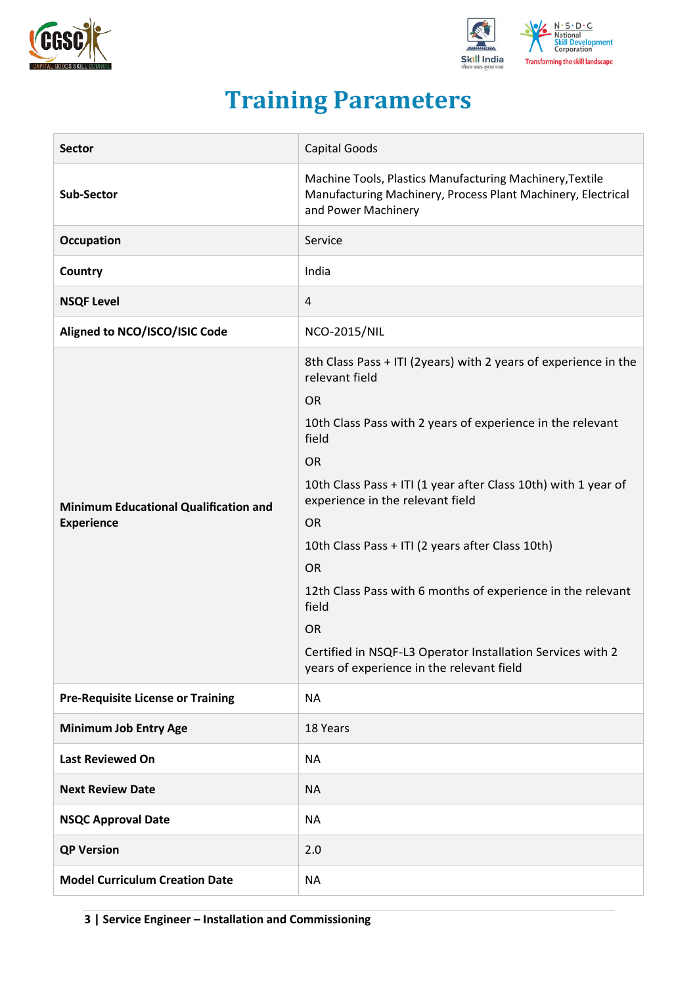![](_page_2_Picture_0.jpeg)

![](_page_2_Picture_1.jpeg)

## **Training Parameters**

<span id="page-2-0"></span>

| <b>Sector</b>                                                     | Capital Goods                                                                                                                                                                                                                                                                                                                                                                                                                                                                                                                                                          |
|-------------------------------------------------------------------|------------------------------------------------------------------------------------------------------------------------------------------------------------------------------------------------------------------------------------------------------------------------------------------------------------------------------------------------------------------------------------------------------------------------------------------------------------------------------------------------------------------------------------------------------------------------|
| Sub-Sector                                                        | Machine Tools, Plastics Manufacturing Machinery, Textile<br>Manufacturing Machinery, Process Plant Machinery, Electrical<br>and Power Machinery                                                                                                                                                                                                                                                                                                                                                                                                                        |
| Occupation                                                        | Service                                                                                                                                                                                                                                                                                                                                                                                                                                                                                                                                                                |
| Country                                                           | India                                                                                                                                                                                                                                                                                                                                                                                                                                                                                                                                                                  |
| <b>NSQF Level</b>                                                 | 4                                                                                                                                                                                                                                                                                                                                                                                                                                                                                                                                                                      |
| Aligned to NCO/ISCO/ISIC Code                                     | <b>NCO-2015/NIL</b>                                                                                                                                                                                                                                                                                                                                                                                                                                                                                                                                                    |
| <b>Minimum Educational Qualification and</b><br><b>Experience</b> | 8th Class Pass + ITI (2years) with 2 years of experience in the<br>relevant field<br><b>OR</b><br>10th Class Pass with 2 years of experience in the relevant<br>field<br><b>OR</b><br>10th Class Pass + ITI (1 year after Class 10th) with 1 year of<br>experience in the relevant field<br><b>OR</b><br>10th Class Pass + ITI (2 years after Class 10th)<br><b>OR</b><br>12th Class Pass with 6 months of experience in the relevant<br>field<br><b>OR</b><br>Certified in NSQF-L3 Operator Installation Services with 2<br>years of experience in the relevant field |
| <b>Pre-Requisite License or Training</b>                          | <b>NA</b>                                                                                                                                                                                                                                                                                                                                                                                                                                                                                                                                                              |
| <b>Minimum Job Entry Age</b>                                      | 18 Years                                                                                                                                                                                                                                                                                                                                                                                                                                                                                                                                                               |
| <b>Last Reviewed On</b>                                           | <b>NA</b>                                                                                                                                                                                                                                                                                                                                                                                                                                                                                                                                                              |
| <b>Next Review Date</b>                                           | <b>NA</b>                                                                                                                                                                                                                                                                                                                                                                                                                                                                                                                                                              |
| <b>NSQC Approval Date</b>                                         | <b>NA</b>                                                                                                                                                                                                                                                                                                                                                                                                                                                                                                                                                              |
| <b>QP Version</b>                                                 | 2.0                                                                                                                                                                                                                                                                                                                                                                                                                                                                                                                                                                    |
| <b>Model Curriculum Creation Date</b>                             | <b>NA</b>                                                                                                                                                                                                                                                                                                                                                                                                                                                                                                                                                              |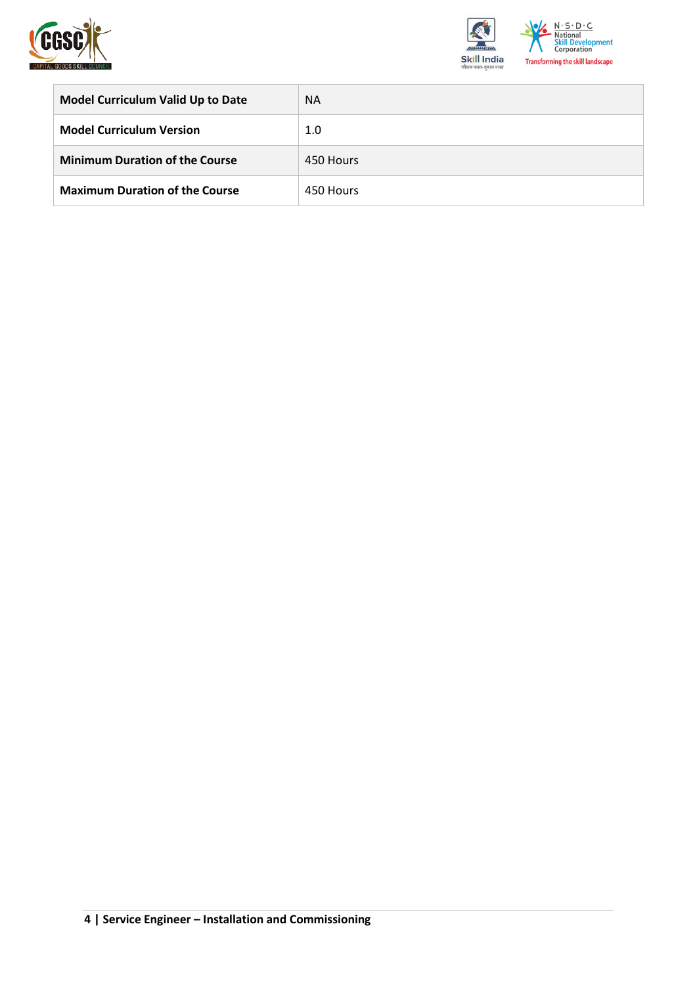![](_page_3_Picture_0.jpeg)

![](_page_3_Picture_1.jpeg)

| <b>Model Curriculum Valid Up to Date</b> | <b>NA</b> |
|------------------------------------------|-----------|
| <b>Model Curriculum Version</b>          | 1.0       |
| <b>Minimum Duration of the Course</b>    | 450 Hours |
| <b>Maximum Duration of the Course</b>    | 450 Hours |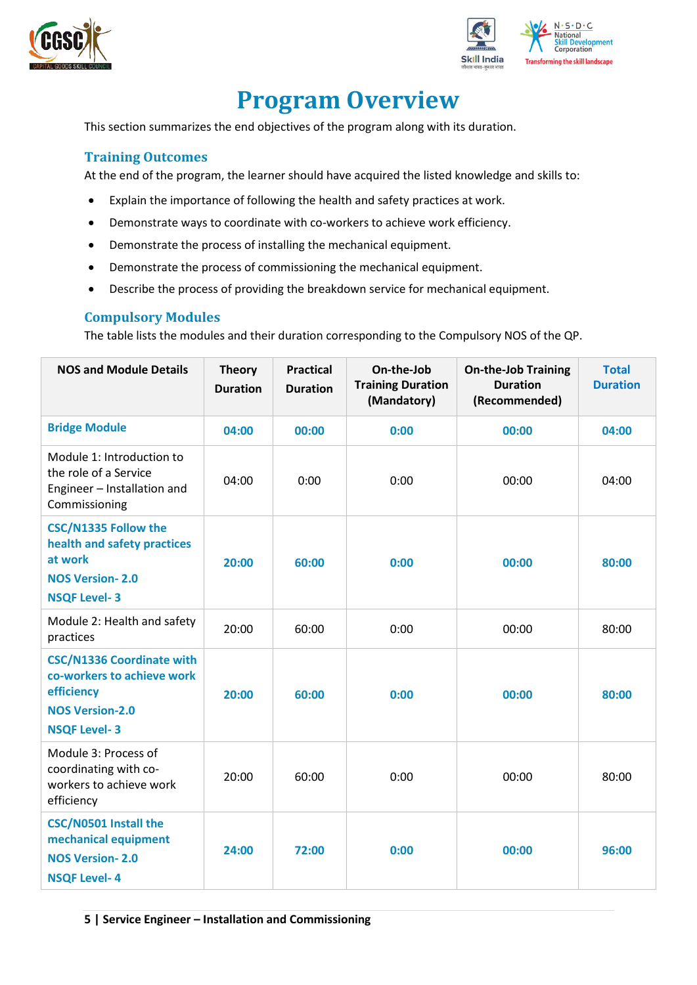![](_page_4_Picture_0.jpeg)

![](_page_4_Picture_1.jpeg)

## **Program Overview**

<span id="page-4-0"></span>This section summarizes the end objectives of the program along with its duration.

#### <span id="page-4-1"></span>**Training Outcomes**

At the end of the program, the learner should have acquired the listed knowledge and skills to:

- Explain the importance of following the health and safety practices at work.
- Demonstrate ways to coordinate with co-workers to achieve work efficiency.
- Demonstrate the process of installing the mechanical equipment.
- Demonstrate the process of commissioning the mechanical equipment.
- Describe the process of providing the breakdown service for mechanical equipment.

#### <span id="page-4-2"></span>**Compulsory Modules**

The table lists the modules and their duration corresponding to the Compulsory NOS of the QP.

| <b>NOS and Module Details</b>                                                                                                 | <b>Theory</b><br><b>Duration</b> | <b>Practical</b><br><b>Duration</b> | On-the-Job<br><b>Training Duration</b><br>(Mandatory) | <b>On-the-Job Training</b><br><b>Duration</b><br>(Recommended) | <b>Total</b><br><b>Duration</b> |
|-------------------------------------------------------------------------------------------------------------------------------|----------------------------------|-------------------------------------|-------------------------------------------------------|----------------------------------------------------------------|---------------------------------|
| <b>Bridge Module</b>                                                                                                          | 04:00                            | 00:00                               | 0:00                                                  | 00:00                                                          | 04:00                           |
| Module 1: Introduction to<br>the role of a Service<br>Engineer - Installation and<br>Commissioning                            | 04:00                            | 0:00                                | 0:00                                                  | 00:00                                                          | 04:00                           |
| <b>CSC/N1335 Follow the</b><br>health and safety practices<br>at work<br><b>NOS Version-2.0</b><br><b>NSQF Level-3</b>        | 20:00                            | 60:00                               | 0:00                                                  | 00:00                                                          | 80:00                           |
| Module 2: Health and safety<br>practices                                                                                      | 20:00                            | 60:00                               | 0:00                                                  | 00:00                                                          | 80:00                           |
| <b>CSC/N1336 Coordinate with</b><br>co-workers to achieve work<br>efficiency<br><b>NOS Version-2.0</b><br><b>NSQF Level-3</b> | 20:00                            | 60:00                               | 0:00                                                  | 00:00                                                          | 80:00                           |
| Module 3: Process of<br>coordinating with co-<br>workers to achieve work<br>efficiency                                        | 20:00                            | 60:00                               | 0:00                                                  | 00:00                                                          | 80:00                           |
| CSC/N0501 Install the<br>mechanical equipment<br><b>NOS Version-2.0</b><br><b>NSQF Level-4</b>                                | 24:00                            | 72:00                               | 0:00                                                  | 00:00                                                          | 96:00                           |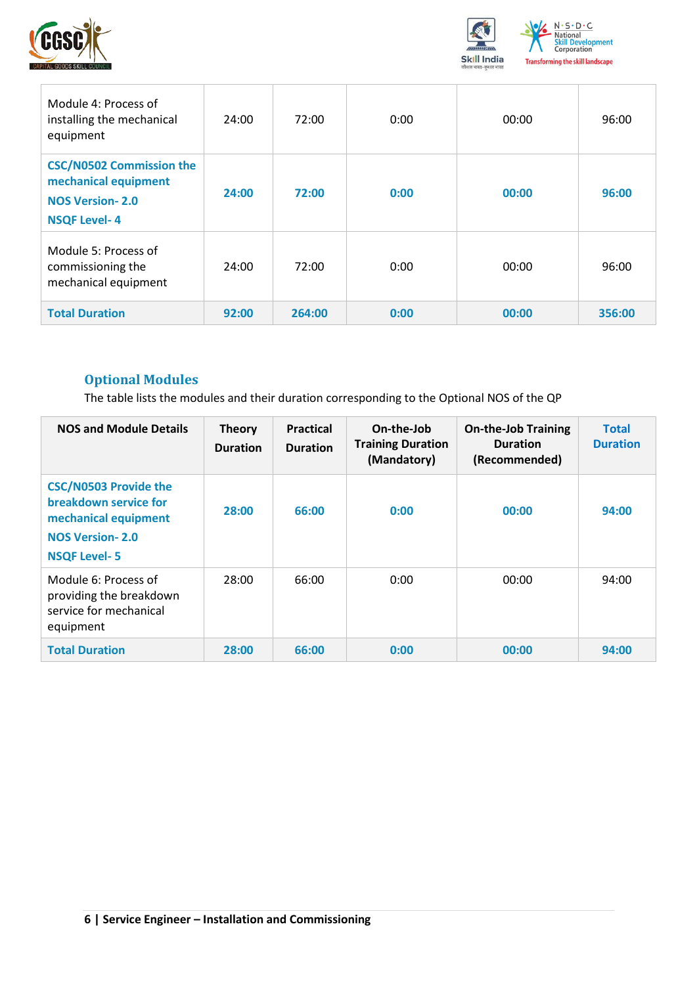![](_page_5_Picture_0.jpeg)

![](_page_5_Picture_1.jpeg)

| Module 4: Process of<br>installing the mechanical<br>equipment                                           | 24:00 | 72:00  | 0:00 | 00:00 | 96:00  |
|----------------------------------------------------------------------------------------------------------|-------|--------|------|-------|--------|
| <b>CSC/N0502 Commission the</b><br>mechanical equipment<br><b>NOS Version-2.0</b><br><b>NSQF Level-4</b> | 24:00 | 72:00  | 0:00 | 00:00 | 96:00  |
| Module 5: Process of<br>commissioning the<br>mechanical equipment                                        | 24:00 | 72:00  | 0:00 | 00:00 | 96:00  |
| <b>Total Duration</b>                                                                                    | 92:00 | 264:00 | 0:00 | 00:00 | 356:00 |

## <span id="page-5-0"></span>**Optional Modules**

The table lists the modules and their duration corresponding to the Optional NOS of the QP

| <b>NOS and Module Details</b>                                                                                                  | <b>Theory</b><br><b>Duration</b> | <b>Practical</b><br><b>Duration</b> | On-the-Job<br><b>Training Duration</b><br>(Mandatory) | <b>On-the-Job Training</b><br><b>Duration</b><br>(Recommended) | <b>Total</b><br><b>Duration</b> |
|--------------------------------------------------------------------------------------------------------------------------------|----------------------------------|-------------------------------------|-------------------------------------------------------|----------------------------------------------------------------|---------------------------------|
| <b>CSC/N0503 Provide the</b><br>breakdown service for<br>mechanical equipment<br><b>NOS Version-2.0</b><br><b>NSQF Level-5</b> | 28:00                            | 66:00                               | 0:00                                                  | 00:00                                                          | 94:00                           |
| Module 6: Process of<br>providing the breakdown<br>service for mechanical<br>equipment                                         | 28:00                            | 66:00                               | 0:00                                                  | 00:00                                                          | 94:00                           |
| <b>Total Duration</b>                                                                                                          | 28:00                            | 66:00                               | 0:00                                                  | 00:00                                                          | 94:00                           |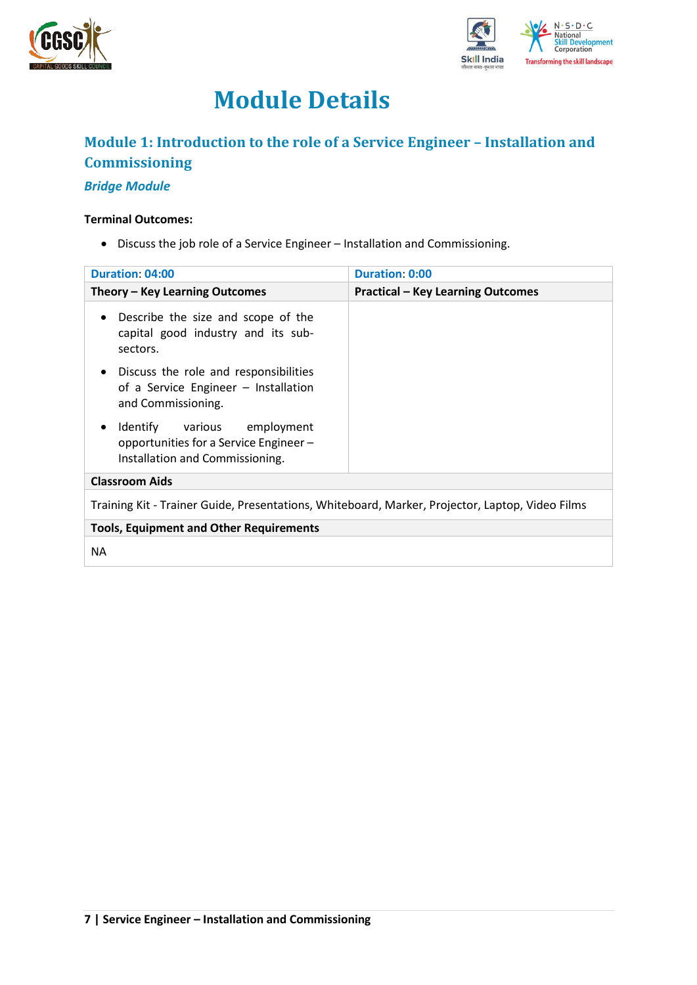![](_page_6_Picture_0.jpeg)

![](_page_6_Picture_1.jpeg)

## **Module Details**

## <span id="page-6-0"></span>**Module 1: Introduction to the role of a Service Engineer – Installation and Commissioning**

#### *Bridge Module*

#### **Terminal Outcomes:**

• Discuss the job role of a Service Engineer – Installation and Commissioning.

| <b>Duration: 04:00</b>                                                                                           | <b>Duration: 0:00</b>                    |  |
|------------------------------------------------------------------------------------------------------------------|------------------------------------------|--|
| Theory – Key Learning Outcomes                                                                                   | <b>Practical - Key Learning Outcomes</b> |  |
| Describe the size and scope of the<br>$\bullet$<br>capital good industry and its sub-<br>sectors.                |                                          |  |
| Discuss the role and responsibilities<br>$\bullet$<br>of a Service Engineer - Installation<br>and Commissioning. |                                          |  |
| Identify various employment<br>٠<br>opportunities for a Service Engineer-<br>Installation and Commissioning.     |                                          |  |
| <b>Classroom Aids</b>                                                                                            |                                          |  |
| Training Kit - Trainer Guide, Presentations, Whiteboard, Marker, Projector, Laptop, Video Films                  |                                          |  |
| <b>Tools, Equipment and Other Requirements</b>                                                                   |                                          |  |
| <b>NA</b>                                                                                                        |                                          |  |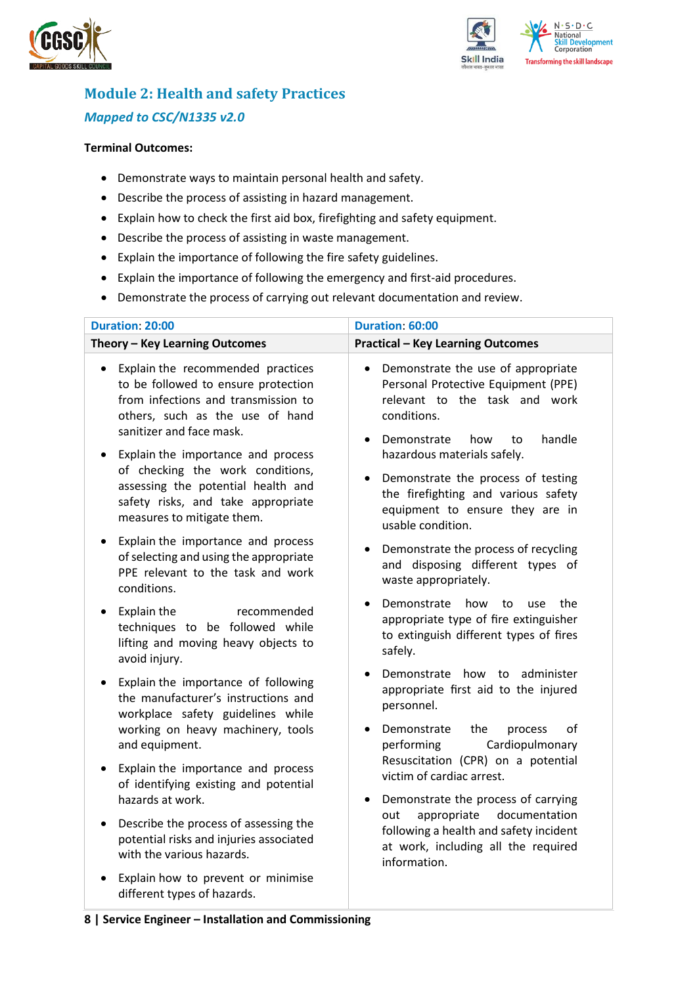![](_page_7_Picture_0.jpeg)

![](_page_7_Picture_1.jpeg)

## <span id="page-7-0"></span>**Module 2: Health and safety Practices** *Mapped to CSC/N1335 v2.0*

#### **Terminal Outcomes:**

- Demonstrate ways to maintain personal health and safety.
- Describe the process of assisting in hazard management.
- Explain how to check the first aid box, firefighting and safety equipment.
- Describe the process of assisting in waste management.
- Explain the importance of following the fire safety guidelines.
- Explain the importance of following the emergency and first-aid procedures.
- Demonstrate the process of carrying out relevant documentation and review.

| <b>Duration: 20:00</b>                                                                                                                                                                                                                                                                                                                                                                                                                                                                                                                                                                                                                                             | Duration: 60:00                                                                                                                                                                                                                                                                                                                                                                                                                                                                                                                                                                                                        |
|--------------------------------------------------------------------------------------------------------------------------------------------------------------------------------------------------------------------------------------------------------------------------------------------------------------------------------------------------------------------------------------------------------------------------------------------------------------------------------------------------------------------------------------------------------------------------------------------------------------------------------------------------------------------|------------------------------------------------------------------------------------------------------------------------------------------------------------------------------------------------------------------------------------------------------------------------------------------------------------------------------------------------------------------------------------------------------------------------------------------------------------------------------------------------------------------------------------------------------------------------------------------------------------------------|
| Theory - Key Learning Outcomes                                                                                                                                                                                                                                                                                                                                                                                                                                                                                                                                                                                                                                     | <b>Practical - Key Learning Outcomes</b>                                                                                                                                                                                                                                                                                                                                                                                                                                                                                                                                                                               |
| Explain the recommended practices<br>$\bullet$<br>to be followed to ensure protection<br>from infections and transmission to<br>others, such as the use of hand<br>sanitizer and face mask.<br>Explain the importance and process<br>$\bullet$<br>of checking the work conditions,<br>assessing the potential health and<br>safety risks, and take appropriate<br>measures to mitigate them.<br>Explain the importance and process<br>$\bullet$<br>of selecting and using the appropriate<br>PPE relevant to the task and work<br>conditions.<br>Explain the<br>recommended<br>$\bullet$<br>techniques to be followed while<br>lifting and moving heavy objects to | Demonstrate the use of appropriate<br>$\bullet$<br>Personal Protective Equipment (PPE)<br>relevant to the task and work<br>conditions.<br>Demonstrate<br>handle<br>how<br>to<br>hazardous materials safely.<br>Demonstrate the process of testing<br>$\bullet$<br>the firefighting and various safety<br>equipment to ensure they are in<br>usable condition.<br>Demonstrate the process of recycling<br>$\bullet$<br>and disposing different types of<br>waste appropriately.<br>Demonstrate<br>how<br>to<br>the<br>use<br>appropriate type of fire extinguisher<br>to extinguish different types of fires<br>safely. |
| avoid injury.<br>Explain the importance of following<br>$\bullet$<br>the manufacturer's instructions and<br>workplace safety guidelines while<br>working on heavy machinery, tools<br>and equipment.                                                                                                                                                                                                                                                                                                                                                                                                                                                               | Demonstrate how to administer<br>appropriate first aid to the injured<br>personnel.<br>Demonstrate<br>the<br>οf<br>process<br>Cardiopulmonary<br>performing                                                                                                                                                                                                                                                                                                                                                                                                                                                            |
| Explain the importance and process<br>of identifying existing and potential<br>hazards at work.                                                                                                                                                                                                                                                                                                                                                                                                                                                                                                                                                                    | Resuscitation (CPR) on a potential<br>victim of cardiac arrest.<br>Demonstrate the process of carrying                                                                                                                                                                                                                                                                                                                                                                                                                                                                                                                 |
| Describe the process of assessing the<br>$\bullet$<br>potential risks and injuries associated<br>with the various hazards.                                                                                                                                                                                                                                                                                                                                                                                                                                                                                                                                         | appropriate<br>documentation<br>out<br>following a health and safety incident<br>at work, including all the required<br>information.                                                                                                                                                                                                                                                                                                                                                                                                                                                                                   |
| Explain how to prevent or minimise<br>different types of hazards.                                                                                                                                                                                                                                                                                                                                                                                                                                                                                                                                                                                                  |                                                                                                                                                                                                                                                                                                                                                                                                                                                                                                                                                                                                                        |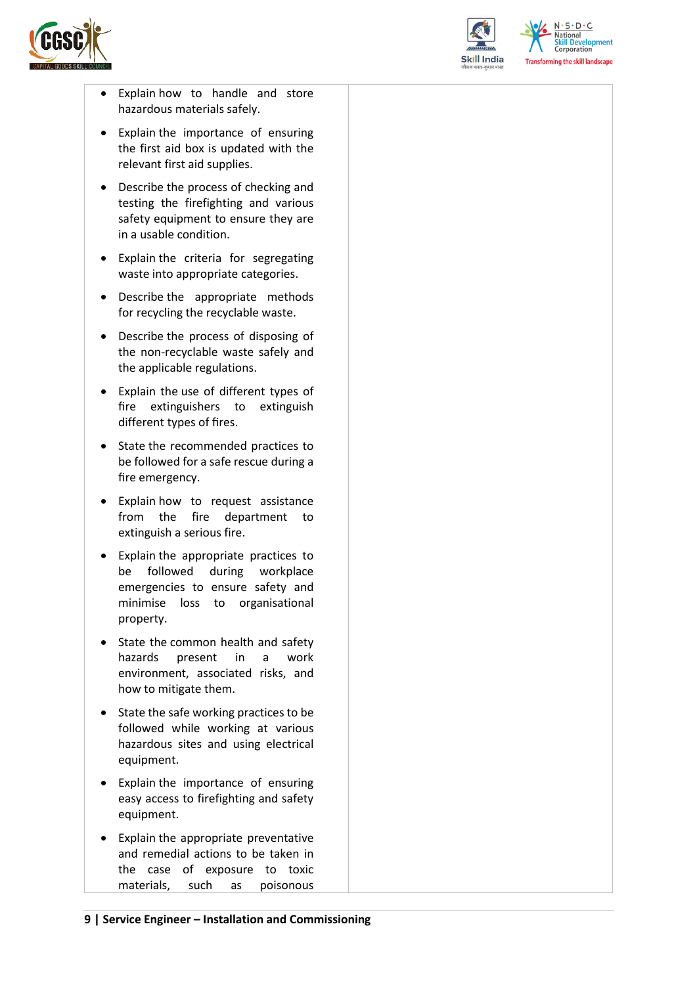![](_page_8_Picture_0.jpeg)

![](_page_8_Picture_1.jpeg)

 $N.5.0.6$ **Skill Development**<br>Corporation **Transforming the skill landscape** 

- Explain how to handle and store hazardous materials safely.
- Explain the importance of ensuring the first aid box is updated with the relevant first aid supplies.
- Describe the process of checking and testing the firefighting and various safety equipment to ensure they are in a usable condition.
- Explain the criteria for segregating waste into appropriate categories.
- Describe the appropriate methods for recycling the recyclable waste.
- Describe the process of disposing of the non-recyclable waste safely and the applicable regulations.
- Explain the use of different types of fire extinguishers to extinguish different types of fires.
- State the recommended practices to be followed for a safe rescue during a fire emergency.
- Explain how to request assistance from the fire department to extinguish a serious fire.
- Explain the appropriate practices to be followed during workplace emergencies to ensure safety and minimise loss to organisational property.
- State the common health and safety hazards present in a work environment, associated risks, and how to mitigate them.
- State the safe working practices to be followed while working at various hazardous sites and using electrical equipment.
- Explain the importance of ensuring easy access to firefighting and safety equipment.
- Explain the appropriate preventative and remedial actions to be taken in the case of exposure to toxic materials, such as poisonous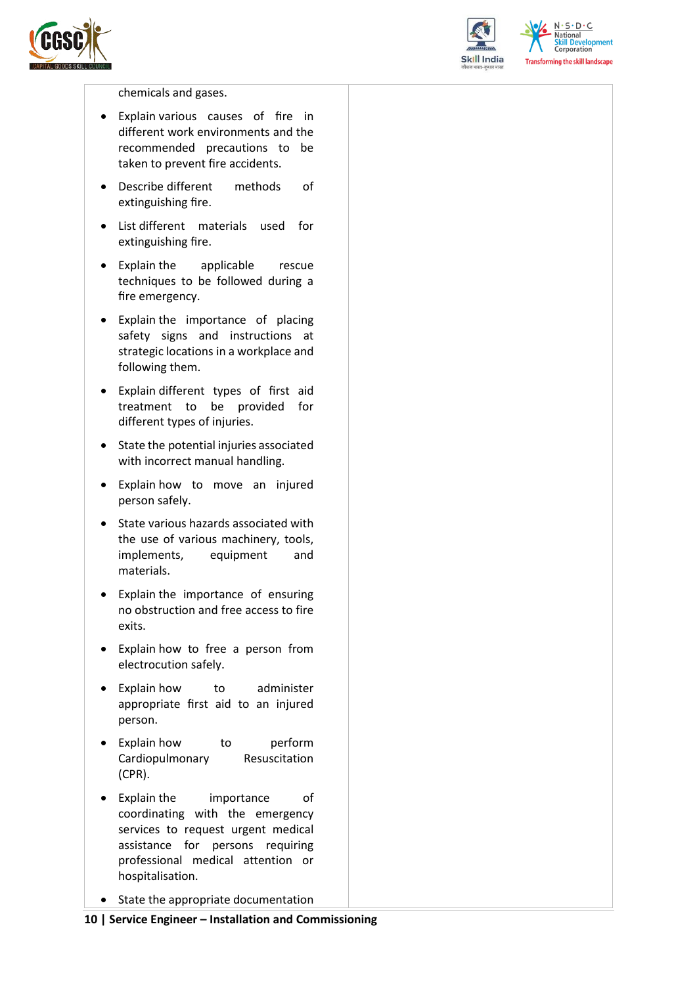![](_page_9_Picture_0.jpeg)

![](_page_9_Picture_1.jpeg)

 $N.5.0.6$ **Skill Development**<br>Corporation **Transforming the skill landscape** 

chemicals and gases.

- Explain various causes of fire in different work environments and the recommended precautions to be taken to prevent fire accidents.
- Describe different methods of extinguishing fire.
- List different materials used for extinguishing fire.
- Explain the applicable rescue techniques to be followed during a fire emergency.
- Explain the importance of placing safety signs and instructions at strategic locations in a workplace and following them.
- Explain different types of first aid treatment to be provided for different types of injuries.
- State the potential injuries associated with incorrect manual handling.
- Explain how to move an injured person safely.
- State various hazards associated with the use of various machinery, tools, implements, equipment and materials.
- Explain the importance of ensuring no obstruction and free access to fire exits.
- Explain how to free a person from electrocution safely.
- Explain how to administer appropriate first aid to an injured person.
- Explain how to perform Cardiopulmonary Resuscitation (CPR).
- Explain the importance of coordinating with the emergency services to request urgent medical assistance for persons requiring professional medical attention or hospitalisation.
- State the appropriate documentation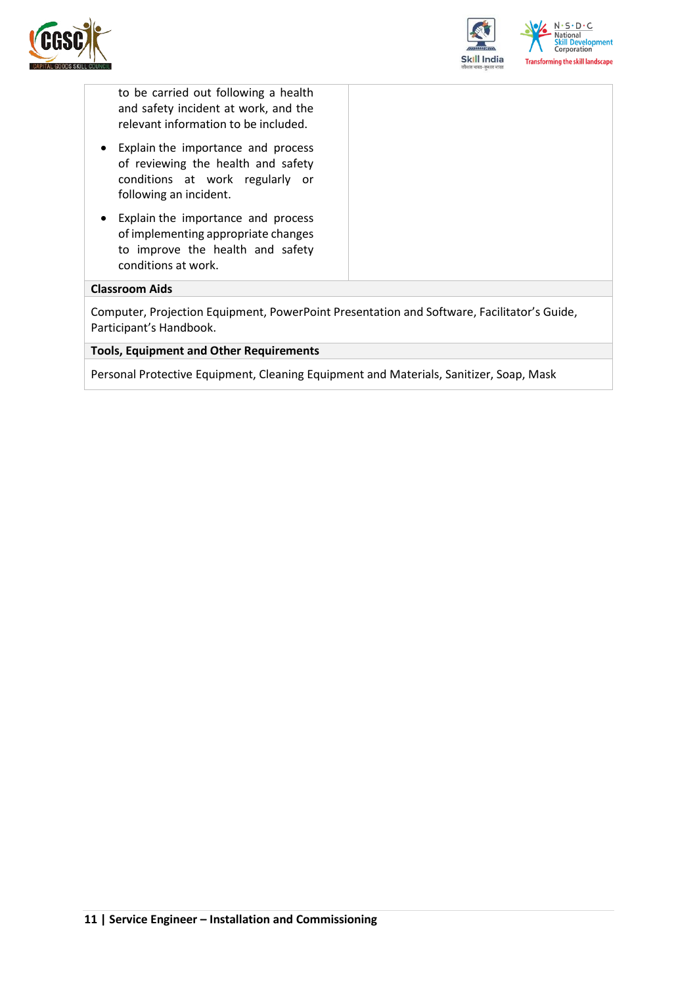![](_page_10_Picture_0.jpeg)

![](_page_10_Picture_1.jpeg)

to be carried out following a health and safety incident at work, and the relevant information to be included.

- Explain the importance and process of reviewing the health and safety conditions at work regularly or following an incident.
- Explain the importance and process of implementing appropriate changes to improve the health and safety conditions at work.

#### **Classroom Aids**

Computer, Projection Equipment, PowerPoint Presentation and Software, Facilitator's Guide, Participant's Handbook.

#### **Tools, Equipment and Other Requirements**

Personal Protective Equipment, Cleaning Equipment and Materials, Sanitizer, Soap, Mask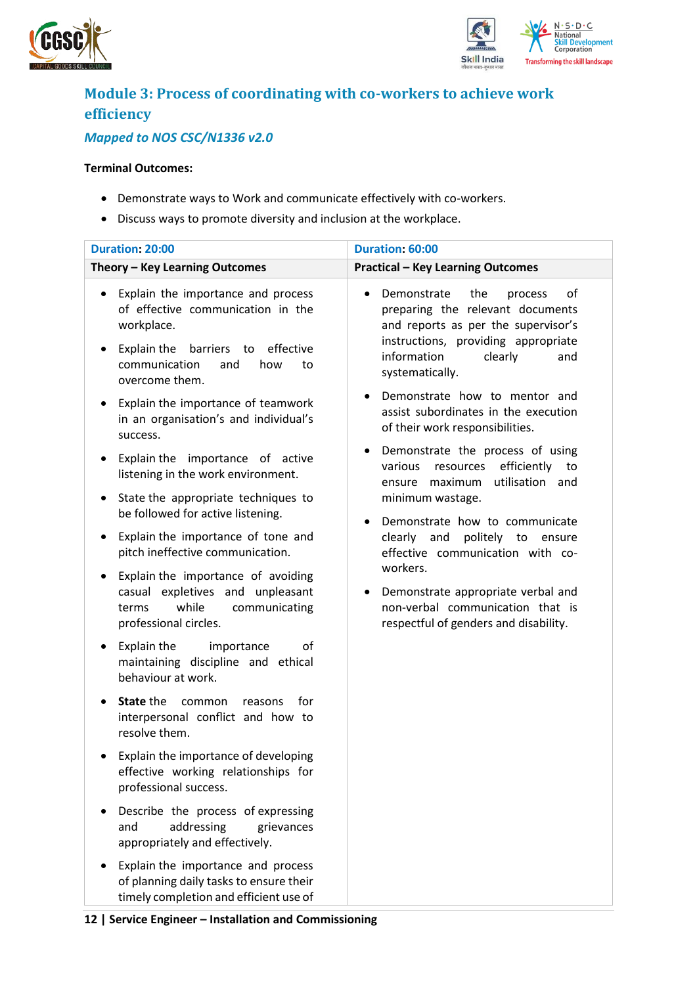![](_page_11_Picture_0.jpeg)

![](_page_11_Picture_1.jpeg)

## <span id="page-11-0"></span>**Module 3: Process of coordinating with co-workers to achieve work efficiency**

### *Mapped to NOS CSC/N1336 v2.0*

#### **Terminal Outcomes:**

- Demonstrate ways to Work and communicate effectively with co-workers.
- Discuss ways to promote diversity and inclusion at the workplace.

| <b>Duration: 20:00</b>                                                                                                                                                                                                                                                                           | Duration: 60:00                                                                                                                                                                                                                                                                                                       |
|--------------------------------------------------------------------------------------------------------------------------------------------------------------------------------------------------------------------------------------------------------------------------------------------------|-----------------------------------------------------------------------------------------------------------------------------------------------------------------------------------------------------------------------------------------------------------------------------------------------------------------------|
| Theory - Key Learning Outcomes                                                                                                                                                                                                                                                                   | <b>Practical - Key Learning Outcomes</b>                                                                                                                                                                                                                                                                              |
| Explain the importance and process<br>٠<br>of effective communication in the<br>workplace.<br>Explain the<br>barriers<br>effective<br>to<br>٠<br>communication<br>and<br>how<br>to<br>overcome them.<br>Explain the importance of teamwork<br>$\bullet$<br>in an organisation's and individual's | Demonstrate<br>the<br>of<br>process<br>preparing the relevant documents<br>and reports as per the supervisor's<br>instructions, providing appropriate<br>information<br>clearly<br>and<br>systematically.<br>Demonstrate how to mentor and<br>assist subordinates in the execution<br>of their work responsibilities. |
| success.<br>Explain the importance of active<br>$\bullet$<br>listening in the work environment.<br>State the appropriate techniques to<br>٠                                                                                                                                                      | Demonstrate the process of using<br>efficiently<br>various<br>resources<br>to<br>utilisation and<br>maximum<br>ensure<br>minimum wastage.                                                                                                                                                                             |
| be followed for active listening.<br>Explain the importance of tone and<br>٠<br>pitch ineffective communication.                                                                                                                                                                                 | Demonstrate how to communicate<br>$\bullet$<br>clearly and<br>politely to ensure<br>effective communication with co-                                                                                                                                                                                                  |
| Explain the importance of avoiding<br>٠<br>casual expletives and unpleasant<br>while<br>communicating<br>terms<br>professional circles.                                                                                                                                                          | workers.<br>Demonstrate appropriate verbal and<br>non-verbal communication that is<br>respectful of genders and disability.                                                                                                                                                                                           |
| Explain the<br>οf<br>importance<br>٠<br>maintaining discipline and ethical<br>behaviour at work.                                                                                                                                                                                                 |                                                                                                                                                                                                                                                                                                                       |
| <b>State the</b><br>common<br>for<br>reasons<br>$\bullet$<br>interpersonal conflict and how to<br>resolve them.                                                                                                                                                                                  |                                                                                                                                                                                                                                                                                                                       |
| Explain the importance of developing<br>effective working relationships for<br>professional success.                                                                                                                                                                                             |                                                                                                                                                                                                                                                                                                                       |
| Describe the process of expressing<br>addressing<br>and<br>grievances<br>appropriately and effectively.                                                                                                                                                                                          |                                                                                                                                                                                                                                                                                                                       |
| Explain the importance and process<br>of planning daily tasks to ensure their<br>timely completion and efficient use of                                                                                                                                                                          |                                                                                                                                                                                                                                                                                                                       |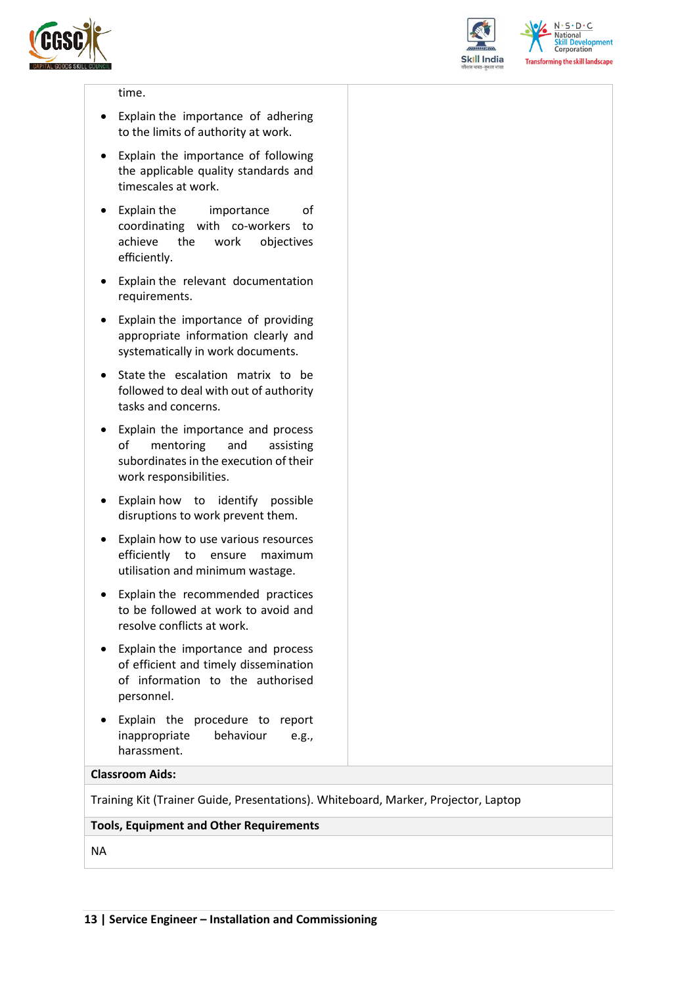![](_page_12_Picture_0.jpeg)

![](_page_12_Picture_1.jpeg)

 $N.5.0.6$ **Skill Development**<br>Corporation **Transforming the skill landscape** 

#### time.

- Explain the importance of adhering to the limits of authority at work.
- Explain the importance of following the applicable quality standards and timescales at work.
- Explain the importance of coordinating with co-workers to achieve the work objectives efficiently.
- Explain the relevant documentation requirements.
- Explain the importance of providing appropriate information clearly and systematically in work documents.
- State the escalation matrix to be followed to deal with out of authority tasks and concerns.
- Explain the importance and process of mentoring and assisting subordinates in the execution of their work responsibilities.
- Explain how to identify possible disruptions to work prevent them.
- Explain how to use various resources efficiently to ensure maximum utilisation and minimum wastage.
- Explain the recommended practices to be followed at work to avoid and resolve conflicts at work.
- Explain the importance and process of efficient and timely dissemination of information to the authorised personnel.
- Explain the procedure to report inappropriate behaviour e.g., harassment.

#### **Classroom Aids:**

Training Kit (Trainer Guide, Presentations). Whiteboard, Marker, Projector, Laptop

#### **Tools, Equipment and Other Requirements**

NA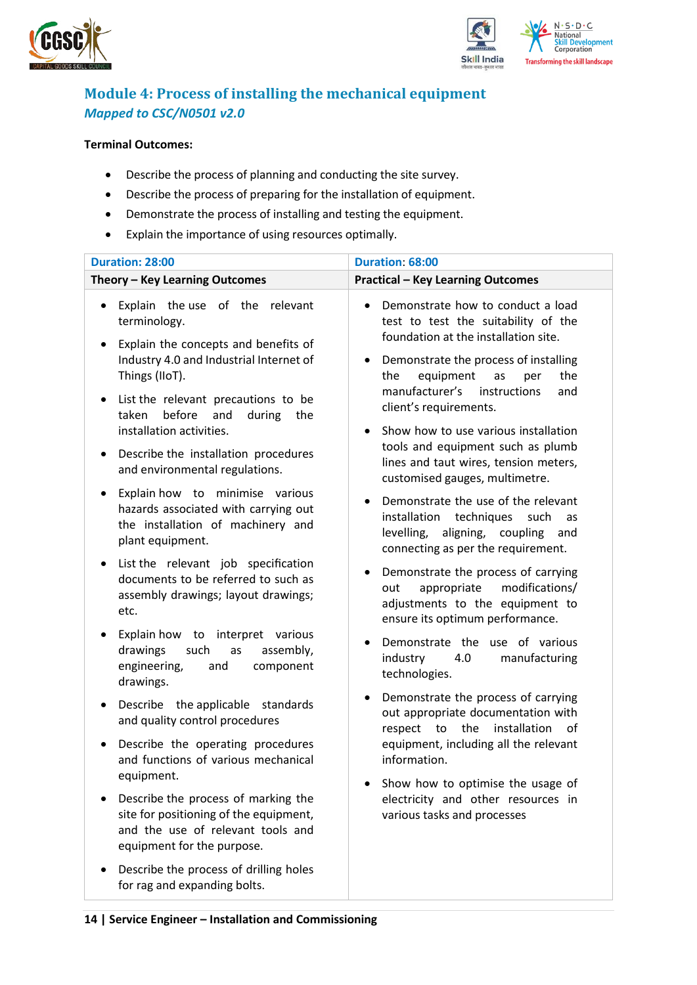![](_page_13_Picture_0.jpeg)

![](_page_13_Picture_1.jpeg)

## <span id="page-13-0"></span>**Module 4: Process of installing the mechanical equipment**  *Mapped to CSC/N0501 v2.0*

#### **Terminal Outcomes:**

- Describe the process of planning and conducting the site survey.
- Describe the process of preparing for the installation of equipment.
- Demonstrate the process of installing and testing the equipment.
- Explain the importance of using resources optimally.

| Duration: 28:00                                                                                                                                                                                                                                                                         | Duration: 68:00                                                                                                                                                                                                                                                                                                                                     |  |  |
|-----------------------------------------------------------------------------------------------------------------------------------------------------------------------------------------------------------------------------------------------------------------------------------------|-----------------------------------------------------------------------------------------------------------------------------------------------------------------------------------------------------------------------------------------------------------------------------------------------------------------------------------------------------|--|--|
| Theory - Key Learning Outcomes                                                                                                                                                                                                                                                          | <b>Practical - Key Learning Outcomes</b>                                                                                                                                                                                                                                                                                                            |  |  |
| Explain the use of the<br>relevant<br>terminology.<br>Explain the concepts and benefits of<br>٠<br>Industry 4.0 and Industrial Internet of<br>Things (IIoT).<br>List the relevant precautions to be<br>$\bullet$<br>before<br>and<br>during<br>taken<br>the<br>installation activities. | Demonstrate how to conduct a load<br>$\bullet$<br>test to test the suitability of the<br>foundation at the installation site.<br>Demonstrate the process of installing<br>$\bullet$<br>the<br>equipment<br>the<br>as<br>per<br>manufacturer's<br>instructions<br>and<br>client's requirements.<br>Show how to use various installation<br>$\bullet$ |  |  |
| Describe the installation procedures<br>$\bullet$<br>and environmental regulations.                                                                                                                                                                                                     | tools and equipment such as plumb<br>lines and taut wires, tension meters,<br>customised gauges, multimetre.                                                                                                                                                                                                                                        |  |  |
| Explain how to minimise various<br>hazards associated with carrying out<br>the installation of machinery and<br>plant equipment.                                                                                                                                                        | Demonstrate the use of the relevant<br>$\bullet$<br>techniques<br>installation<br>such<br>as<br>aligning,<br>levelling,<br>coupling<br>and<br>connecting as per the requirement.                                                                                                                                                                    |  |  |
| List the relevant job specification<br>٠<br>documents to be referred to such as<br>assembly drawings; layout drawings;<br>etc.                                                                                                                                                          | Demonstrate the process of carrying<br>٠<br>modifications/<br>appropriate<br>out<br>adjustments to the equipment to<br>ensure its optimum performance.                                                                                                                                                                                              |  |  |
| Explain how to interpret various<br>$\bullet$<br>drawings<br>such<br>assembly,<br>as<br>engineering,<br>component<br>and<br>drawings.                                                                                                                                                   | Demonstrate the use of various<br>$\bullet$<br>industry<br>manufacturing<br>4.0<br>technologies.                                                                                                                                                                                                                                                    |  |  |
| Describe the applicable standards<br>$\bullet$<br>and quality control procedures                                                                                                                                                                                                        | Demonstrate the process of carrying<br>٠<br>out appropriate documentation with<br>installation<br>the<br>respect<br>of<br>to                                                                                                                                                                                                                        |  |  |
| Describe the operating procedures<br>and functions of various mechanical<br>equipment.                                                                                                                                                                                                  | equipment, including all the relevant<br>information.                                                                                                                                                                                                                                                                                               |  |  |
| Describe the process of marking the<br>site for positioning of the equipment,<br>and the use of relevant tools and<br>equipment for the purpose.                                                                                                                                        | Show how to optimise the usage of<br>$\bullet$<br>electricity and other resources in<br>various tasks and processes                                                                                                                                                                                                                                 |  |  |
| Describe the process of drilling holes<br>for rag and expanding bolts.                                                                                                                                                                                                                  |                                                                                                                                                                                                                                                                                                                                                     |  |  |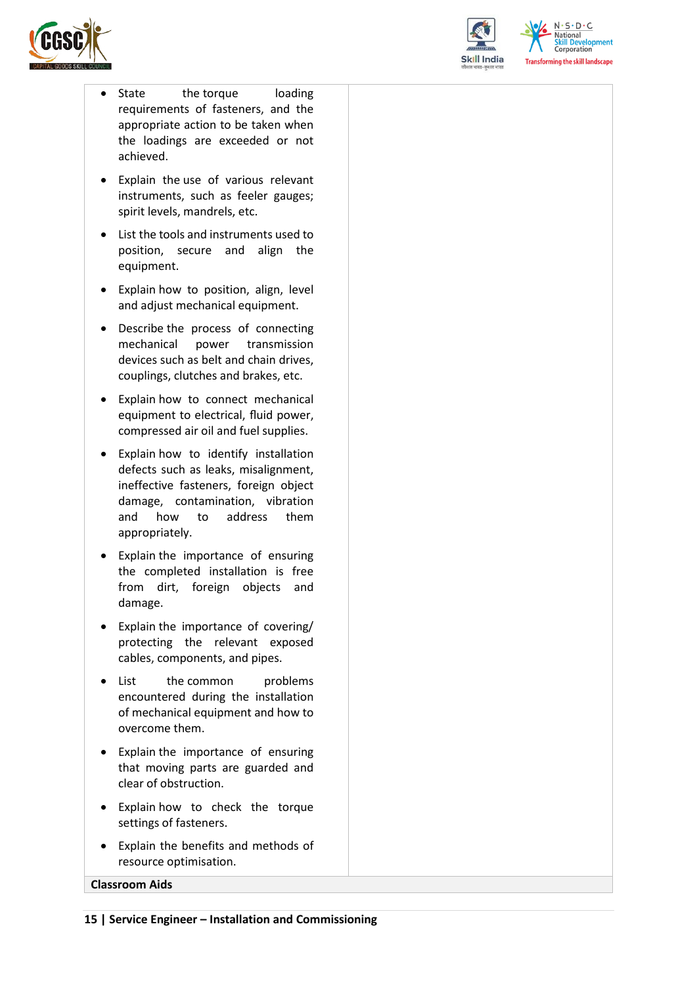![](_page_14_Picture_0.jpeg)

![](_page_14_Picture_1.jpeg)

 $N.5.0.6$ **Skill Development**<br>Corporation **Transforming the skill landscape** 

- State the torque loading requirements of fasteners, and the appropriate action to be taken when the loadings are exceeded or not achieved.
- Explain the use of various relevant instruments, such as feeler gauges; spirit levels, mandrels, etc.
- List the tools and instruments used to position, secure and align the equipment.
- Explain how to position, align, level and adjust mechanical equipment.
- Describe the process of connecting mechanical power transmission devices such as belt and chain drives, couplings, clutches and brakes, etc.
- Explain how to connect mechanical equipment to electrical, fluid power, compressed air oil and fuel supplies.
- Explain how to identify installation defects such as leaks, misalignment, ineffective fasteners, foreign object damage, contamination, vibration and how to address them appropriately.
- Explain the importance of ensuring the completed installation is free from dirt, foreign objects and damage.
- Explain the importance of covering/ protecting the relevant exposed cables, components, and pipes.
- List the common problems encountered during the installation of mechanical equipment and how to overcome them.
- Explain the importance of ensuring that moving parts are guarded and clear of obstruction.
- Explain how to check the torque settings of fasteners.
- Explain the benefits and methods of resource optimisation.

#### **Classroom Aids**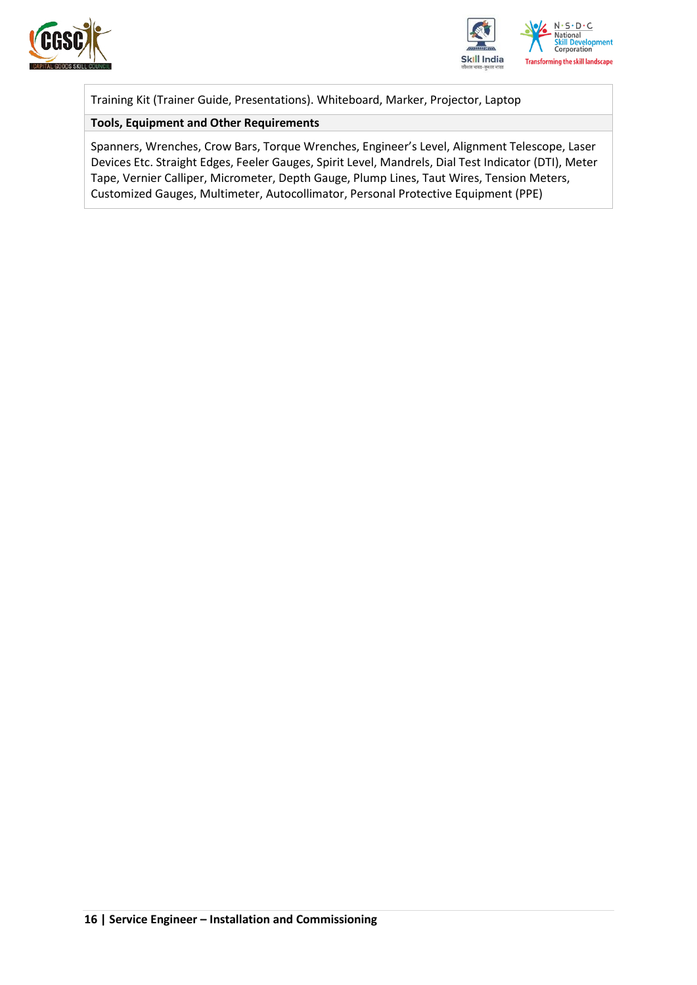![](_page_15_Picture_0.jpeg)

![](_page_15_Picture_1.jpeg)

Training Kit (Trainer Guide, Presentations). Whiteboard, Marker, Projector, Laptop

#### **Tools, Equipment and Other Requirements**

Spanners, Wrenches, Crow Bars, Torque Wrenches, Engineer's Level, Alignment Telescope, Laser Devices Etc. Straight Edges, Feeler Gauges, Spirit Level, Mandrels, Dial Test Indicator (DTI), Meter Tape, Vernier Calliper, Micrometer, Depth Gauge, Plump Lines, Taut Wires, Tension Meters, Customized Gauges, Multimeter, Autocollimator, Personal Protective Equipment (PPE)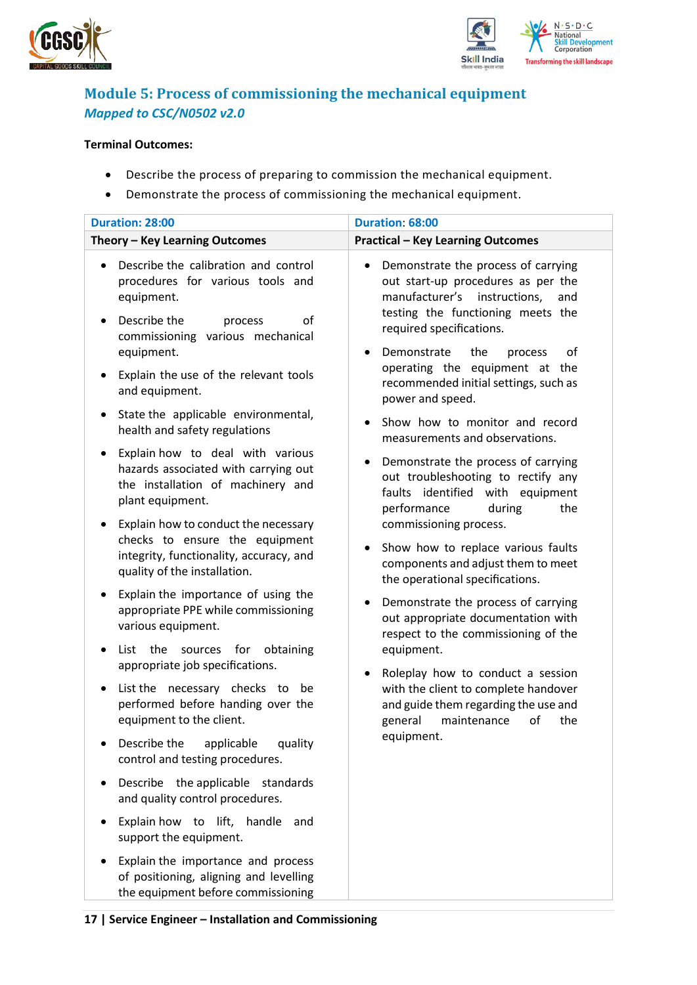![](_page_16_Picture_0.jpeg)

![](_page_16_Picture_1.jpeg)

### <span id="page-16-0"></span>**Module 5: Process of commissioning the mechanical equipment**  *Mapped to CSC/N0502 v2.0*

#### **Terminal Outcomes:**

- Describe the process of preparing to commission the mechanical equipment.
- Demonstrate the process of commissioning the mechanical equipment.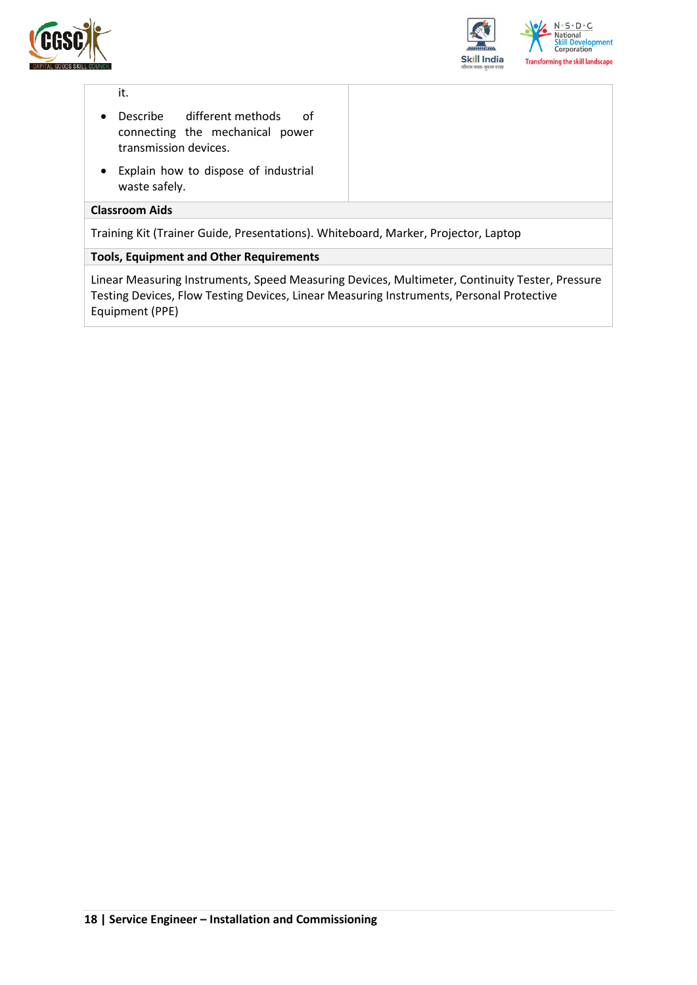![](_page_17_Picture_0.jpeg)

![](_page_17_Picture_1.jpeg)

#### it.

- Describe different methods of connecting the mechanical power transmission devices.
- Explain how to dispose of industrial waste safely.

#### **Classroom Aids**

Training Kit (Trainer Guide, Presentations). Whiteboard, Marker, Projector, Laptop

#### **Tools, Equipment and Other Requirements**

Linear Measuring Instruments, Speed Measuring Devices, Multimeter, Continuity Tester, Pressure Testing Devices, Flow Testing Devices, Linear Measuring Instruments, Personal Protective Equipment (PPE)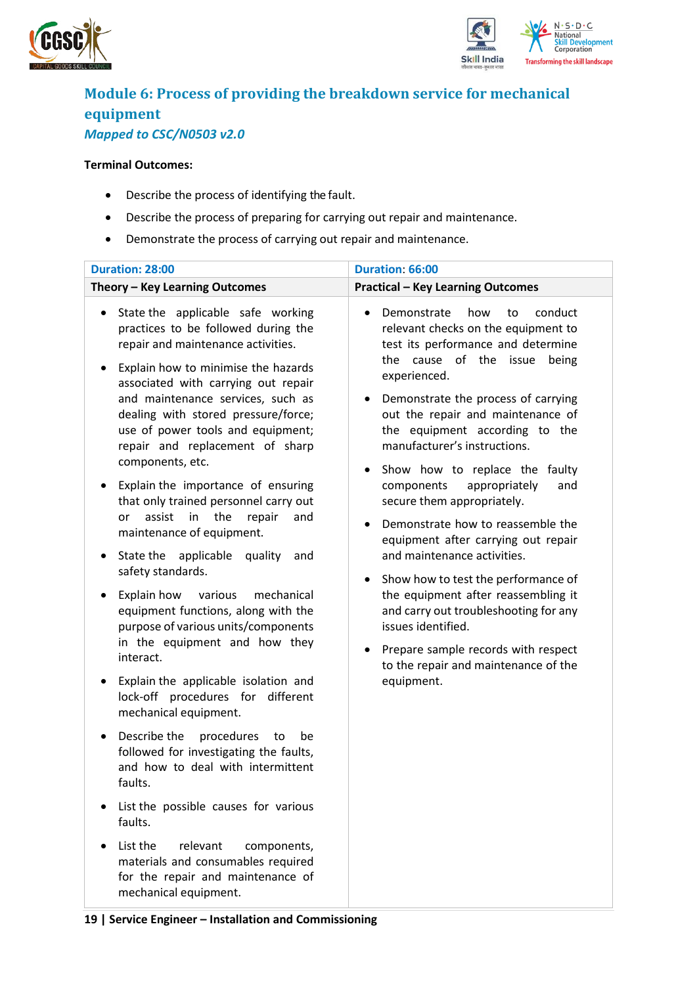![](_page_18_Picture_0.jpeg)

![](_page_18_Picture_1.jpeg)

## <span id="page-18-0"></span>**Module 6: Process of providing the breakdown service for mechanical equipment** *Mapped to CSC/N0503 v2.0*

#### **Terminal Outcomes:**

• Describe the process of identifying the fault.

**19 | Service Engineer – Installation and Commissioning**

- Describe the process of preparing for carrying out repair and maintenance.
- Demonstrate the process of carrying out repair and maintenance.

| Duration: 28:00                                                                                                                                                                                                                                                                                                                                                                                                                                                                                                                                                                                                                                                                                                                                                                                                                                                                                                                                                                                                                                                                                                                                                                                                                  | Duration: 66:00                                                                                                                                                                                                                                                                                                                                                                                                                                                                                                                                                                                                                                                                                                                                                                                   |
|----------------------------------------------------------------------------------------------------------------------------------------------------------------------------------------------------------------------------------------------------------------------------------------------------------------------------------------------------------------------------------------------------------------------------------------------------------------------------------------------------------------------------------------------------------------------------------------------------------------------------------------------------------------------------------------------------------------------------------------------------------------------------------------------------------------------------------------------------------------------------------------------------------------------------------------------------------------------------------------------------------------------------------------------------------------------------------------------------------------------------------------------------------------------------------------------------------------------------------|---------------------------------------------------------------------------------------------------------------------------------------------------------------------------------------------------------------------------------------------------------------------------------------------------------------------------------------------------------------------------------------------------------------------------------------------------------------------------------------------------------------------------------------------------------------------------------------------------------------------------------------------------------------------------------------------------------------------------------------------------------------------------------------------------|
| Theory - Key Learning Outcomes                                                                                                                                                                                                                                                                                                                                                                                                                                                                                                                                                                                                                                                                                                                                                                                                                                                                                                                                                                                                                                                                                                                                                                                                   | <b>Practical - Key Learning Outcomes</b>                                                                                                                                                                                                                                                                                                                                                                                                                                                                                                                                                                                                                                                                                                                                                          |
| State the applicable safe working<br>٠<br>practices to be followed during the<br>repair and maintenance activities.<br>Explain how to minimise the hazards<br>٠<br>associated with carrying out repair<br>and maintenance services, such as<br>dealing with stored pressure/force;<br>use of power tools and equipment;<br>repair and replacement of sharp<br>components, etc.<br>Explain the importance of ensuring<br>that only trained personnel carry out<br>the<br>assist<br>in<br>repair<br>or<br>and<br>maintenance of equipment.<br>State the<br>applicable<br>quality<br>and<br>safety standards.<br>Explain how<br>various<br>mechanical<br>equipment functions, along with the<br>purpose of various units/components<br>in the equipment and how they<br>interact.<br>Explain the applicable isolation and<br>٠<br>lock-off procedures for different<br>mechanical equipment.<br>Describe the<br>procedures<br>be<br>to<br>٠<br>followed for investigating the faults,<br>and how to deal with intermittent<br>faults.<br>List the possible causes for various<br>faults.<br>List the<br>relevant<br>components,<br>materials and consumables required<br>for the repair and maintenance of<br>mechanical equipment. | Demonstrate<br>how<br>conduct<br>to<br>relevant checks on the equipment to<br>test its performance and determine<br>cause of the issue<br>the<br>being<br>experienced.<br>Demonstrate the process of carrying<br>٠<br>out the repair and maintenance of<br>the equipment according to the<br>manufacturer's instructions.<br>Show how to replace the faulty<br>components<br>appropriately<br>and<br>secure them appropriately.<br>Demonstrate how to reassemble the<br>equipment after carrying out repair<br>and maintenance activities.<br>Show how to test the performance of<br>the equipment after reassembling it<br>and carry out troubleshooting for any<br>issues identified.<br>Prepare sample records with respect<br>$\bullet$<br>to the repair and maintenance of the<br>equipment. |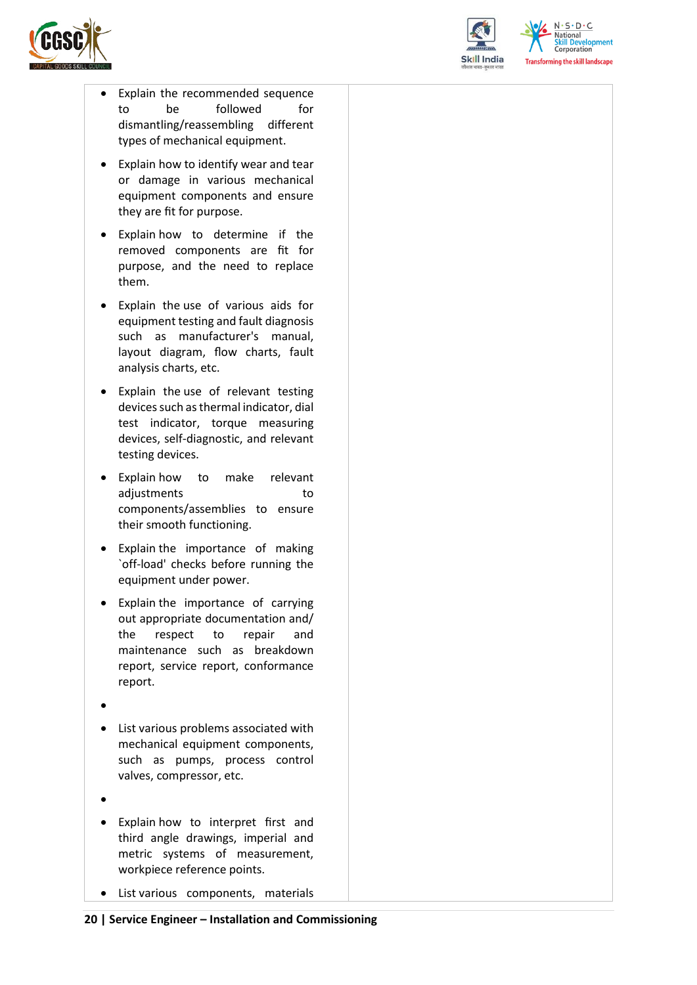![](_page_19_Picture_0.jpeg)

![](_page_19_Picture_1.jpeg)

 $N \cdot S \cdot D \cdot C$ **National Skill Development**<br>Corporation **Transforming the skill landscape** 

- Explain the recommended sequence to be followed for dismantling/reassembling different types of mechanical equipment.
- Explain how to identify wear and tear or damage in various mechanical equipment components and ensure they are fit for purpose.
- Explain how to determine if the removed components are fit for purpose, and the need to replace them.
- Explain the use of various aids for equipment testing and fault diagnosis such as manufacturer's manual, layout diagram, flow charts, fault analysis charts, etc.
- Explain the use of relevant testing devices such as thermal indicator, dial test indicator, torque measuring devices, self-diagnostic, and relevant testing devices.
- Explain how to make relevant adjustments to components/assemblies to ensure their smooth functioning.
- Explain the importance of making `off-load' checks before running the equipment under power.
- Explain the importance of carrying out appropriate documentation and/ the respect to repair and maintenance such as breakdown report, service report, conformance report.
- •
- List various problems associated with mechanical equipment components, such as pumps, process control valves, compressor, etc.
- •
- Explain how to interpret first and third angle drawings, imperial and metric systems of measurement, workpiece reference points.
- List various components, materials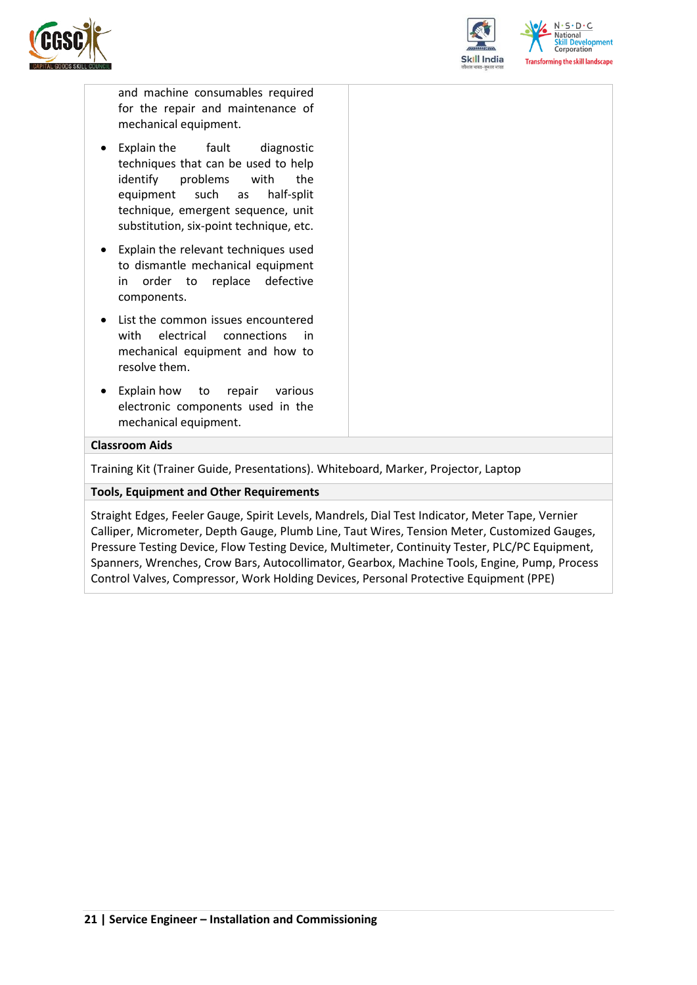![](_page_20_Picture_0.jpeg)

![](_page_20_Picture_1.jpeg)

and machine consumables required for the repair and maintenance of mechanical equipment.

- Explain the fault diagnostic techniques that can be used to help identify problems with the equipment such as half-split technique, emergent sequence, unit substitution, six-point technique, etc.
- Explain the relevant techniques used to dismantle mechanical equipment in order to replace defective components.
- List the common issues encountered with electrical connections in mechanical equipment and how to resolve them.
- Explain how to repair various electronic components used in the mechanical equipment.

#### **Classroom Aids**

Training Kit (Trainer Guide, Presentations). Whiteboard, Marker, Projector, Laptop

#### **Tools, Equipment and Other Requirements**

Straight Edges, Feeler Gauge, Spirit Levels, Mandrels, Dial Test Indicator, Meter Tape, Vernier Calliper, Micrometer, Depth Gauge, Plumb Line, Taut Wires, Tension Meter, Customized Gauges, Pressure Testing Device, Flow Testing Device, Multimeter, Continuity Tester, PLC/PC Equipment, Spanners, Wrenches, Crow Bars, Autocollimator, Gearbox, Machine Tools, Engine, Pump, Process Control Valves, Compressor, Work Holding Devices, Personal Protective Equipment (PPE)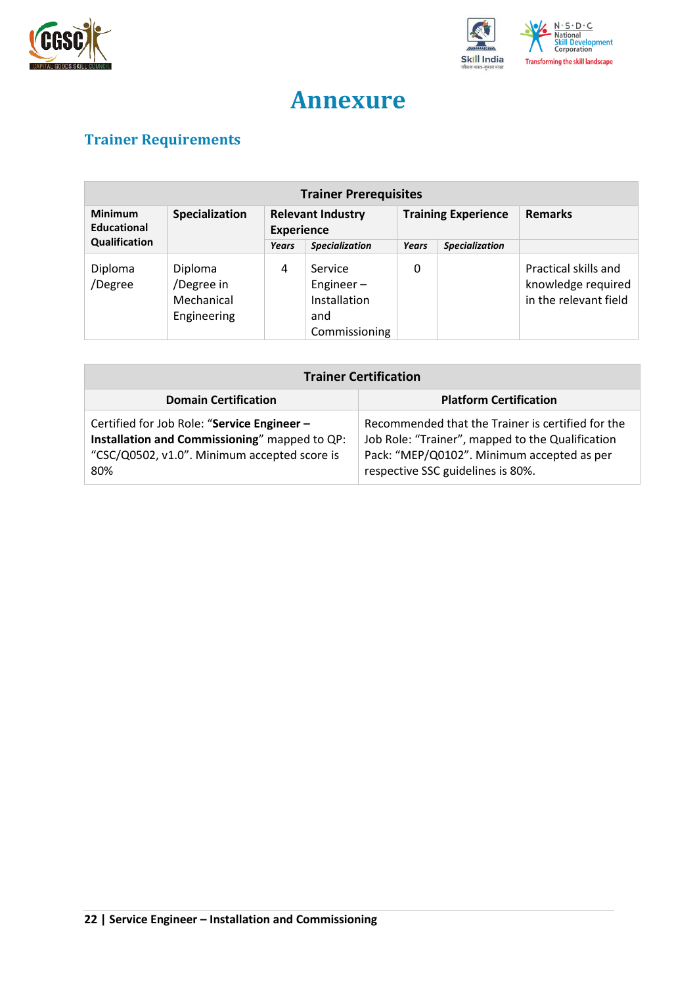![](_page_21_Picture_0.jpeg)

![](_page_21_Picture_1.jpeg)

## **Annexure**

## <span id="page-21-1"></span><span id="page-21-0"></span>**Trainer Requirements**

| <b>Trainer Prerequisites</b>  |                                                    |                                               |                                                                 |                            |                       |                                                                     |
|-------------------------------|----------------------------------------------------|-----------------------------------------------|-----------------------------------------------------------------|----------------------------|-----------------------|---------------------------------------------------------------------|
| <b>Minimum</b><br>Educational | Specialization                                     | <b>Relevant Industry</b><br><b>Experience</b> |                                                                 | <b>Training Experience</b> |                       | <b>Remarks</b>                                                      |
| Qualification                 |                                                    | Years                                         | <b>Specialization</b>                                           | <b>Years</b>               | <b>Specialization</b> |                                                                     |
| Diploma<br>/Degree            | Diploma<br>/Degree in<br>Mechanical<br>Engineering | 4                                             | Service<br>Engineer $-$<br>Installation<br>and<br>Commissioning | 0                          |                       | Practical skills and<br>knowledge required<br>in the relevant field |

| <b>Trainer Certification</b>                                                                                                                        |                                                                                                                                                                                          |  |  |
|-----------------------------------------------------------------------------------------------------------------------------------------------------|------------------------------------------------------------------------------------------------------------------------------------------------------------------------------------------|--|--|
| <b>Domain Certification</b>                                                                                                                         | <b>Platform Certification</b>                                                                                                                                                            |  |  |
| Certified for Job Role: "Service Engineer -<br>Installation and Commissioning" mapped to QP:<br>"CSC/Q0502, v1.0". Minimum accepted score is<br>80% | Recommended that the Trainer is certified for the<br>Job Role: "Trainer", mapped to the Qualification<br>Pack: "MEP/Q0102". Minimum accepted as per<br>respective SSC guidelines is 80%. |  |  |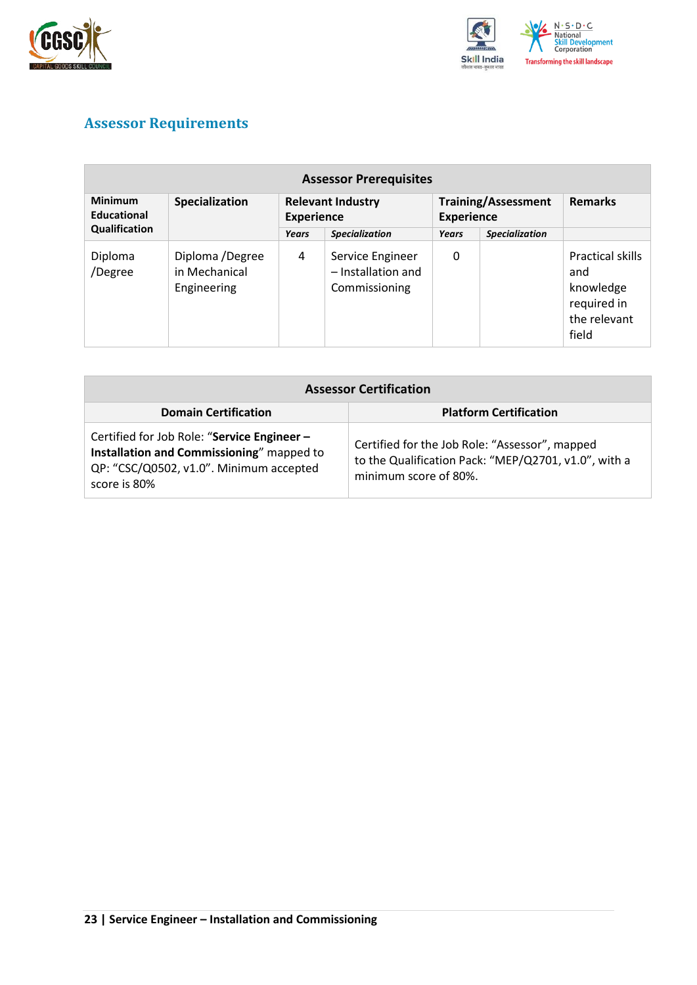![](_page_22_Picture_0.jpeg)

![](_page_22_Picture_1.jpeg)

## <span id="page-22-0"></span>**Assessor Requirements**

| <b>Assessor Prerequisites</b> |                                                 |                                               |                                                         |                                                 |                       |                                                                              |
|-------------------------------|-------------------------------------------------|-----------------------------------------------|---------------------------------------------------------|-------------------------------------------------|-----------------------|------------------------------------------------------------------------------|
| <b>Minimum</b><br>Educational | Specialization                                  | <b>Relevant Industry</b><br><b>Experience</b> |                                                         | <b>Training/Assessment</b><br><b>Experience</b> |                       | <b>Remarks</b>                                                               |
| Qualification                 |                                                 | Years                                         | <b>Specialization</b>                                   | Years                                           | <b>Specialization</b> |                                                                              |
| Diploma<br>/Degree            | Diploma /Degree<br>in Mechanical<br>Engineering | 4                                             | Service Engineer<br>- Installation and<br>Commissioning | 0                                               |                       | Practical skills<br>and<br>knowledge<br>required in<br>the relevant<br>field |

| <b>Assessor Certification</b>                                                                                                                       |                                                                                                                                 |  |  |
|-----------------------------------------------------------------------------------------------------------------------------------------------------|---------------------------------------------------------------------------------------------------------------------------------|--|--|
| <b>Domain Certification</b>                                                                                                                         | <b>Platform Certification</b>                                                                                                   |  |  |
| Certified for Job Role: "Service Engineer -<br>Installation and Commissioning" mapped to<br>QP: "CSC/Q0502, v1.0". Minimum accepted<br>score is 80% | Certified for the Job Role: "Assessor", mapped<br>to the Qualification Pack: "MEP/Q2701, v1.0", with a<br>minimum score of 80%. |  |  |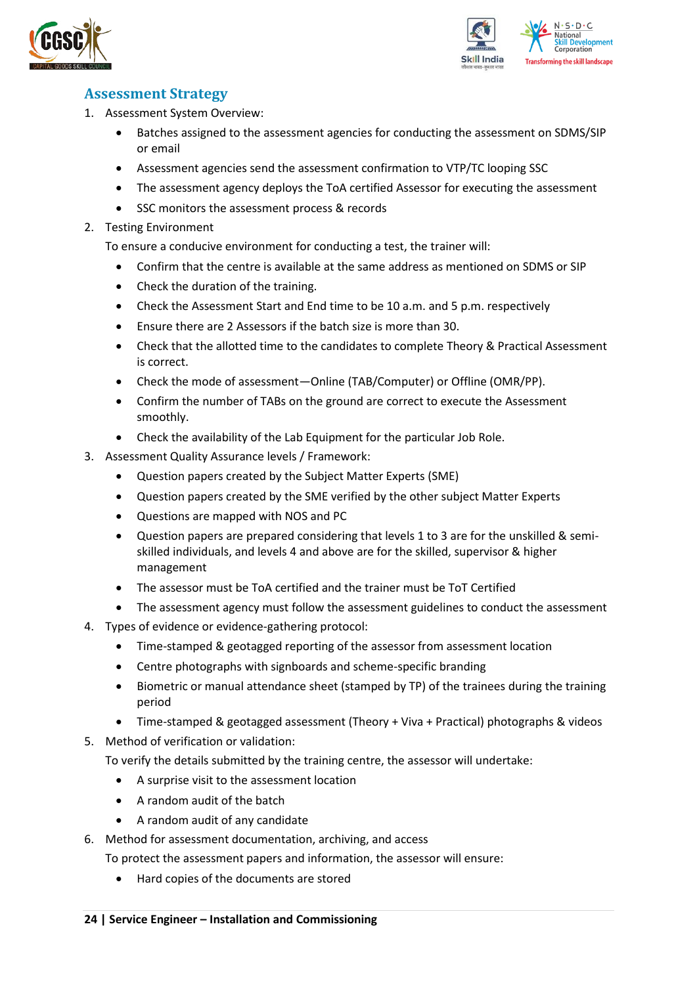![](_page_23_Picture_0.jpeg)

![](_page_23_Picture_1.jpeg)

### <span id="page-23-0"></span>**Assessment Strategy**

- 1. Assessment System Overview:
	- Batches assigned to the assessment agencies for conducting the assessment on SDMS/SIP or email
	- Assessment agencies send the assessment confirmation to VTP/TC looping SSC
	- The assessment agency deploys the ToA certified Assessor for executing the assessment
	- SSC monitors the assessment process & records
- 2. Testing Environment

To ensure a conducive environment for conducting a test, the trainer will:

- Confirm that the centre is available at the same address as mentioned on SDMS or SIP
- Check the duration of the training.
- Check the Assessment Start and End time to be 10 a.m. and 5 p.m. respectively
- Ensure there are 2 Assessors if the batch size is more than 30.
- Check that the allotted time to the candidates to complete Theory & Practical Assessment is correct.
- Check the mode of assessment—Online (TAB/Computer) or Offline (OMR/PP).
- Confirm the number of TABs on the ground are correct to execute the Assessment smoothly.
- Check the availability of the Lab Equipment for the particular Job Role.
- 3. Assessment Quality Assurance levels / Framework:
	- Question papers created by the Subject Matter Experts (SME)
	- Question papers created by the SME verified by the other subject Matter Experts
	- Questions are mapped with NOS and PC
	- Question papers are prepared considering that levels 1 to 3 are for the unskilled & semiskilled individuals, and levels 4 and above are for the skilled, supervisor & higher management
	- The assessor must be ToA certified and the trainer must be ToT Certified
	- The assessment agency must follow the assessment guidelines to conduct the assessment
- 4. Types of evidence or evidence-gathering protocol:
	- Time-stamped & geotagged reporting of the assessor from assessment location
	- Centre photographs with signboards and scheme-specific branding
	- Biometric or manual attendance sheet (stamped by TP) of the trainees during the training period
	- Time-stamped & geotagged assessment (Theory + Viva + Practical) photographs & videos
- 5. Method of verification or validation:

To verify the details submitted by the training centre, the assessor will undertake:

- A surprise visit to the assessment location
- A random audit of the batch
- A random audit of any candidate
- 6. Method for assessment documentation, archiving, and access
	- To protect the assessment papers and information, the assessor will ensure:
		- Hard copies of the documents are stored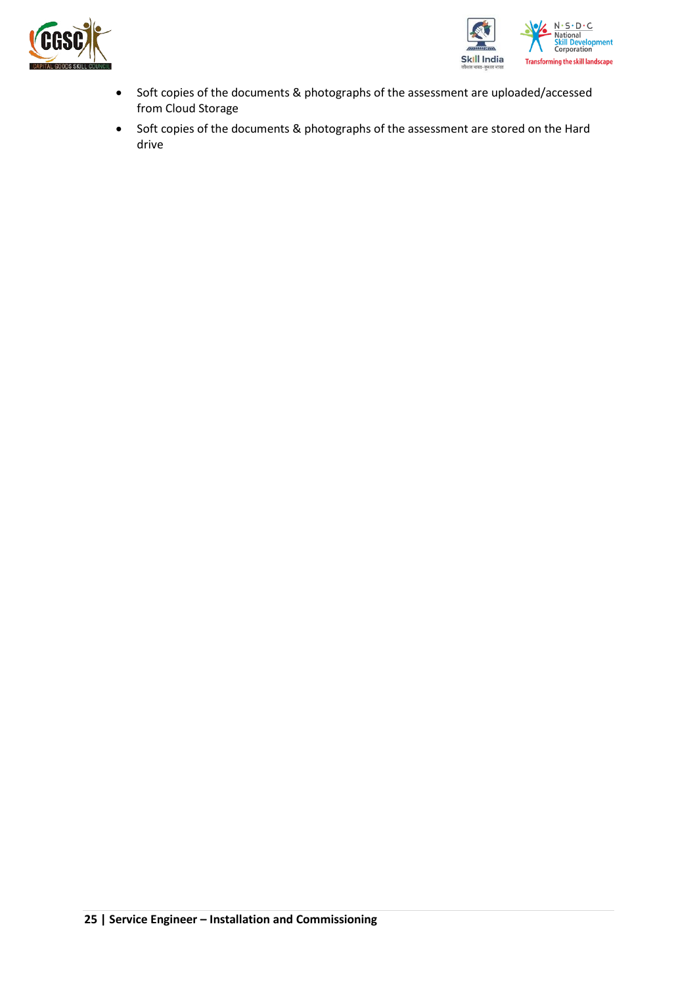![](_page_24_Picture_0.jpeg)

![](_page_24_Picture_1.jpeg)

- Soft copies of the documents & photographs of the assessment are uploaded/accessed from Cloud Storage
- Soft copies of the documents & photographs of the assessment are stored on the Hard drive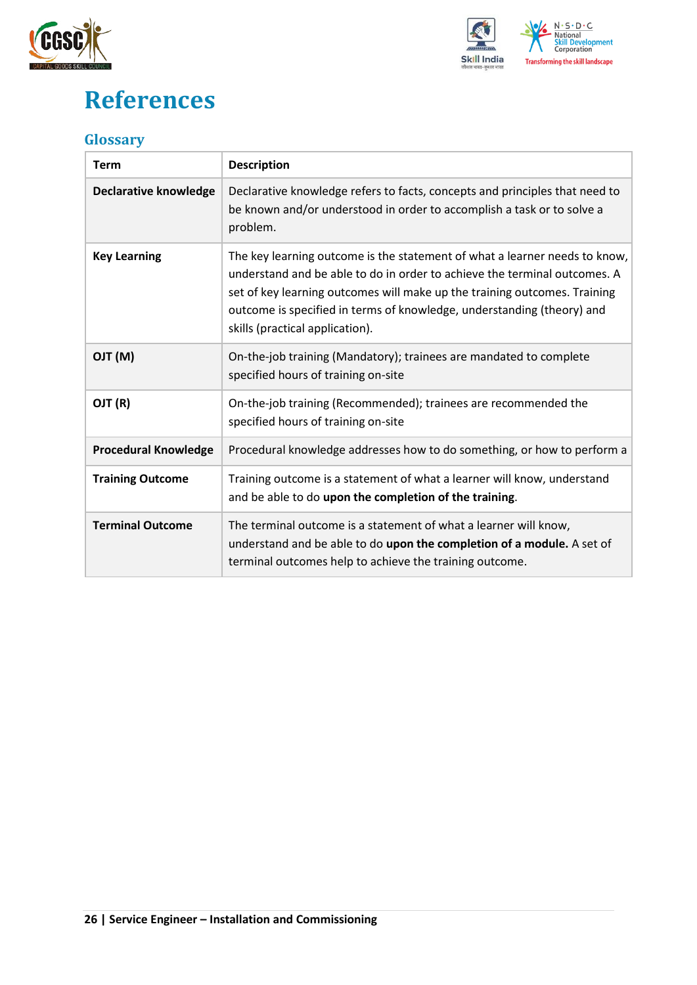![](_page_25_Picture_0.jpeg)

![](_page_25_Picture_1.jpeg)

## <span id="page-25-0"></span>**References**

## <span id="page-25-1"></span>**Glossary**

| <b>Term</b>                  | <b>Description</b>                                                                                                                                                                                                                                                                                                                                |
|------------------------------|---------------------------------------------------------------------------------------------------------------------------------------------------------------------------------------------------------------------------------------------------------------------------------------------------------------------------------------------------|
| <b>Declarative knowledge</b> | Declarative knowledge refers to facts, concepts and principles that need to<br>be known and/or understood in order to accomplish a task or to solve a<br>problem.                                                                                                                                                                                 |
| <b>Key Learning</b>          | The key learning outcome is the statement of what a learner needs to know,<br>understand and be able to do in order to achieve the terminal outcomes. A<br>set of key learning outcomes will make up the training outcomes. Training<br>outcome is specified in terms of knowledge, understanding (theory) and<br>skills (practical application). |
| (M) TLO                      | On-the-job training (Mandatory); trainees are mandated to complete<br>specified hours of training on-site                                                                                                                                                                                                                                         |
| OJT (R)                      | On-the-job training (Recommended); trainees are recommended the<br>specified hours of training on-site                                                                                                                                                                                                                                            |
| <b>Procedural Knowledge</b>  | Procedural knowledge addresses how to do something, or how to perform a                                                                                                                                                                                                                                                                           |
| <b>Training Outcome</b>      | Training outcome is a statement of what a learner will know, understand<br>and be able to do upon the completion of the training.                                                                                                                                                                                                                 |
| <b>Terminal Outcome</b>      | The terminal outcome is a statement of what a learner will know,<br>understand and be able to do upon the completion of a module. A set of<br>terminal outcomes help to achieve the training outcome.                                                                                                                                             |